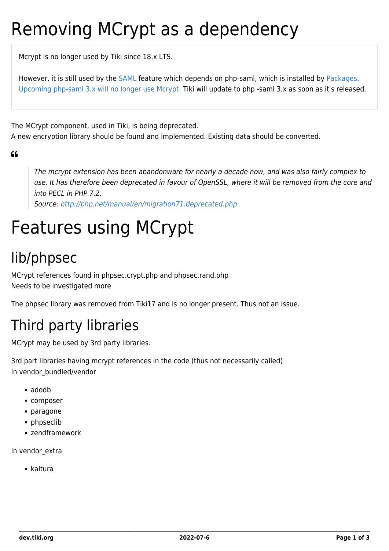# Removing MCrypt as a dependency

Mcrypt is no longer used by Tiki since 18.x LTS.

However, it is still used by the [SAML](http://doc.tiki.org/SAML) feature which depends on php-saml, which is installed by [Packages.](http://doc.tiki.org/Packages) [Upcoming php-saml 3.x will no longer use Mcrypt.](https://github.com/onelogin/php-saml/issues/255) Tiki will update to php -saml 3.x as soon as it's released.

The MCrypt component, used in Tiki, is being deprecated.

A new encryption library should be found and implemented. Existing data should be converted.

 $66$ 

The mcrypt extension has been abandonware for nearly a decade now, and was also fairly complex to use. It has therefore been deprecated in favour of OpenSSL, where it will be removed from the core and into PECL in PHP 7.2.

Source:<http://php.net/manual/en/migration71.deprecated.php>

# Features using MCrypt

## lib/phpsec

MCrypt references found in phpsec.crypt.php and phpsec.rand.php Needs to be investigated more

The phpsec library was removed from Tiki17 and is no longer present. Thus not an issue.

## Third party libraries

MCrypt may be used by 3rd party libraries.

3rd part libraries having mcrypt references in the code (thus not necessarily called) In vendor\_bundled/vendor

- adodb
- composer
- paragone
- phpseclib
- zendframework

In vendor\_extra

kaltura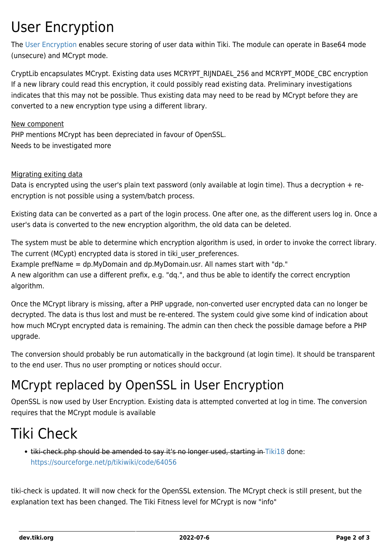### User Encryption

The [User Encryption](https://dev.tiki.org/User-Encryption) enables secure storing of user data within Tiki. The module can operate in Base64 mode (unsecure) and MCrypt mode.

CryptLib encapsulates MCrypt. Existing data uses MCRYPT\_RIJNDAEL\_256 and MCRYPT\_MODE\_CBC encryption If a new library could read this encryption, it could possibly read existing data. Preliminary investigations indicates that this may not be possible. Thus existing data may need to be read by MCrypt before they are converted to a new encryption type using a different library.

New component PHP mentions MCrypt has been depreciated in favour of OpenSSL. Needs to be investigated more

#### Migrating exiting data

Data is encrypted using the user's plain text password (only available at login time). Thus a decryption + reencryption is not possible using a system/batch process.

Existing data can be converted as a part of the login process. One after one, as the different users log in. Once a user's data is converted to the new encryption algorithm, the old data can be deleted.

The system must be able to determine which encryption algorithm is used, in order to invoke the correct library. The current (MCypt) encrypted data is stored in tiki user preferences. Example prefName = dp.MyDomain and dp.MyDomain.usr. All names start with "dp." A new algorithm can use a different prefix, e.g. "dq.", and thus be able to identify the correct encryption algorithm.

Once the MCrypt library is missing, after a PHP upgrade, non-converted user encrypted data can no longer be decrypted. The data is thus lost and must be re-entered. The system could give some kind of indication about how much MCrypt encrypted data is remaining. The admin can then check the possible damage before a PHP upgrade.

The conversion should probably be run automatically in the background (at login time). It should be transparent to the end user. Thus no user prompting or notices should occur.

#### MCrypt replaced by OpenSSL in User Encryption

OpenSSL is now used by User Encryption. Existing data is attempted converted at log in time. The conversion requires that the MCrypt module is available

### Tiki Check

tiki-check.php should be amended to say it's no longer used, starting in [Tiki18](https://dev.tiki.org/Tiki18) done: <https://sourceforge.net/p/tikiwiki/code/64056>

tiki-check is updated. It will now check for the OpenSSL extension. The MCrypt check is still present, but the explanation text has been changed. The Tiki Fitness level for MCrypt is now "info"